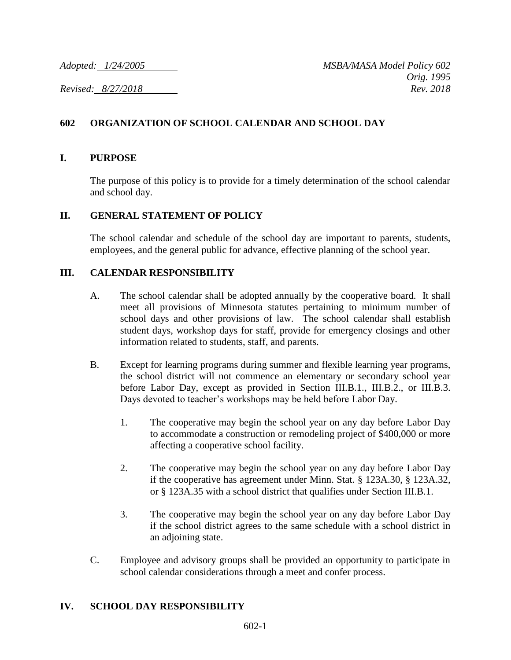# **602 ORGANIZATION OF SCHOOL CALENDAR AND SCHOOL DAY**

#### **I. PURPOSE**

The purpose of this policy is to provide for a timely determination of the school calendar and school day.

## **II. GENERAL STATEMENT OF POLICY**

The school calendar and schedule of the school day are important to parents, students, employees, and the general public for advance, effective planning of the school year.

## **III. CALENDAR RESPONSIBILITY**

- A. The school calendar shall be adopted annually by the cooperative board. It shall meet all provisions of Minnesota statutes pertaining to minimum number of school days and other provisions of law. The school calendar shall establish student days, workshop days for staff, provide for emergency closings and other information related to students, staff, and parents.
- B. Except for learning programs during summer and flexible learning year programs, the school district will not commence an elementary or secondary school year before Labor Day, except as provided in Section III.B.1., III.B.2., or III.B.3. Days devoted to teacher's workshops may be held before Labor Day.
	- 1. The cooperative may begin the school year on any day before Labor Day to accommodate a construction or remodeling project of \$400,000 or more affecting a cooperative school facility.
	- 2. The cooperative may begin the school year on any day before Labor Day if the cooperative has agreement under Minn. Stat. § 123A.30, § 123A.32, or § 123A.35 with a school district that qualifies under Section III.B.1.
	- 3. The cooperative may begin the school year on any day before Labor Day if the school district agrees to the same schedule with a school district in an adjoining state.
- C. Employee and advisory groups shall be provided an opportunity to participate in school calendar considerations through a meet and confer process.

#### **IV. SCHOOL DAY RESPONSIBILITY**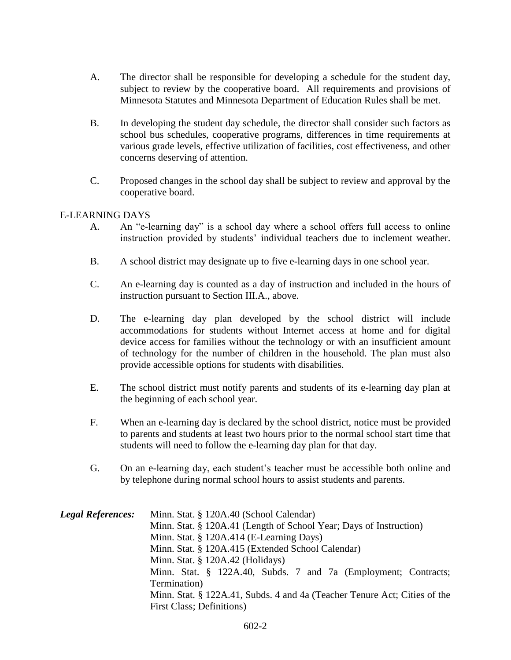- A. The director shall be responsible for developing a schedule for the student day, subject to review by the cooperative board. All requirements and provisions of Minnesota Statutes and Minnesota Department of Education Rules shall be met.
- B. In developing the student day schedule, the director shall consider such factors as school bus schedules, cooperative programs, differences in time requirements at various grade levels, effective utilization of facilities, cost effectiveness, and other concerns deserving of attention.
- C. Proposed changes in the school day shall be subject to review and approval by the cooperative board.

## E-LEARNING DAYS

- A. An "e-learning day" is a school day where a school offers full access to online instruction provided by students' individual teachers due to inclement weather.
- B. A school district may designate up to five e-learning days in one school year.
- C. An e-learning day is counted as a day of instruction and included in the hours of instruction pursuant to Section III.A., above.
- D. The e-learning day plan developed by the school district will include accommodations for students without Internet access at home and for digital device access for families without the technology or with an insufficient amount of technology for the number of children in the household. The plan must also provide accessible options for students with disabilities.
- E. The school district must notify parents and students of its e-learning day plan at the beginning of each school year.
- F. When an e-learning day is declared by the school district, notice must be provided to parents and students at least two hours prior to the normal school start time that students will need to follow the e-learning day plan for that day.
- G. On an e-learning day, each student's teacher must be accessible both online and by telephone during normal school hours to assist students and parents.

| <b>Legal References:</b> | Minn. Stat. § 120A.40 (School Calendar)                                   |
|--------------------------|---------------------------------------------------------------------------|
|                          | Minn. Stat. § 120A.41 (Length of School Year; Days of Instruction)        |
|                          | Minn. Stat. § 120A.414 (E-Learning Days)                                  |
|                          | Minn. Stat. § 120A.415 (Extended School Calendar)                         |
|                          | Minn. Stat. § 120A.42 (Holidays)                                          |
|                          | Minn. Stat. § 122A.40, Subds. 7 and 7a (Employment; Contracts;            |
|                          | Termination)                                                              |
|                          | Minn. Stat. § 122A.41, Subds. 4 and 4a (Teacher Tenure Act; Cities of the |
|                          | First Class; Definitions)                                                 |